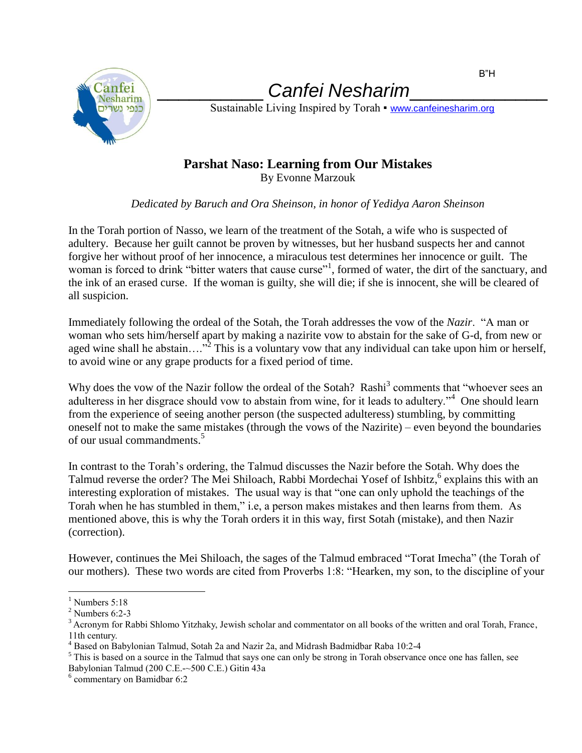

\_\_\_\_\_\_\_\_\_\_ *Canfei Nesharim*\_\_\_\_\_\_\_\_\_\_\_\_\_

Sustainable Living Inspired by Torah • [www.canfeinesharim.org](http://www.canfeinesharim.org/)

## **Parshat Naso: Learning from Our Mistakes**

By Evonne Marzouk

## *Dedicated by Baruch and Ora Sheinson, in honor of Yedidya Aaron Sheinson*

In the Torah portion of Nasso, we learn of the treatment of the Sotah, a wife who is suspected of adultery. Because her guilt cannot be proven by witnesses, but her husband suspects her and cannot forgive her without proof of her innocence, a miraculous test determines her innocence or guilt. The woman is forced to drink "bitter waters that cause curse"<sup>1</sup>, formed of water, the dirt of the sanctuary, and the ink of an erased curse. If the woman is guilty, she will die; if she is innocent, she will be cleared of all suspicion.

Immediately following the ordeal of the Sotah, the Torah addresses the vow of the *Nazir*. "A man or woman who sets him/herself apart by making a nazirite vow to abstain for the sake of G-d, from new or aged wine shall he abstain...."<sup>2</sup> This is a voluntary vow that any individual can take upon him or herself, to avoid wine or any grape products for a fixed period of time.

Why does the vow of the Nazir follow the ordeal of the Sotah? Rashi<sup>3</sup> comments that "whoever sees an adulteress in her disgrace should vow to abstain from wine, for it leads to adultery."<sup>4</sup> One should learn from the experience of seeing another person (the suspected adulteress) stumbling, by committing oneself not to make the same mistakes (through the vows of the Nazirite) – even beyond the boundaries of our usual commandments. 5

In contrast to the Torah's ordering, the Talmud discusses the Nazir before the Sotah. Why does the Talmud reverse the order? The Mei Shiloach, Rabbi Mordechai Yosef of Ishbitz, explains this with an interesting exploration of mistakes. The usual way is that "one can only uphold the teachings of the Torah when he has stumbled in them," i.e, a person makes mistakes and then learns from them. As mentioned above, this is why the Torah orders it in this way, first Sotah (mistake), and then Nazir (correction).

However, continues the Mei Shiloach, the sages of the Talmud embraced "Torat Imecha" (the Torah of our mothers). These two words are cited from Proverbs 1:8: "Hearken, my son, to the discipline of your

 $\overline{a}$  $<sup>1</sup>$  Numbers 5:18</sup>

 $2$  Numbers 6:2-3

<sup>&</sup>lt;sup>3</sup> Acronym for Rabbi Shlomo Yitzhaky, Jewish scholar and commentator on all books of the written and oral Torah, France, 11th century.

<sup>4</sup> Based on Babylonian Talmud, Sotah 2a and Nazir 2a, and Midrash Badmidbar Raba 10:2-4

<sup>&</sup>lt;sup>5</sup> This is based on a source in the Talmud that says one can only be strong in Torah observance once one has fallen, see Babylonian Talmud (200 C.E.-~500 C.E.) Gitin 43a

<sup>6</sup> commentary on Bamidbar 6:2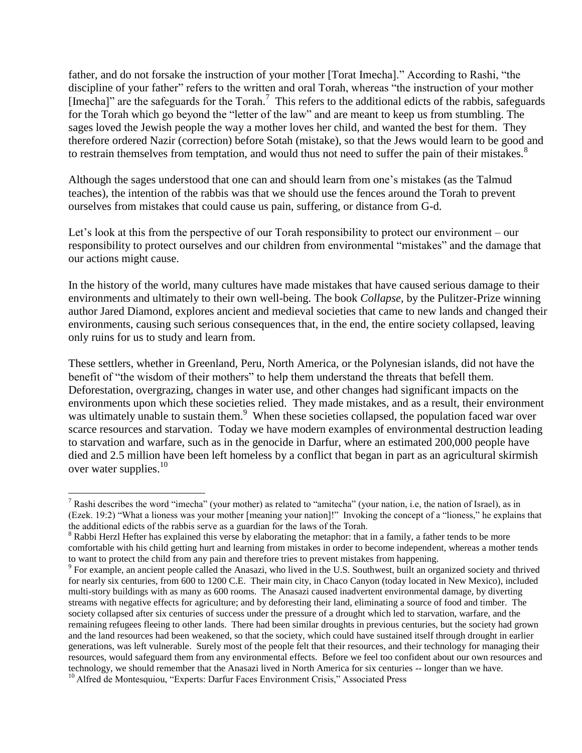father, and do not forsake the instruction of your mother [Torat Imecha]." According to Rashi, "the discipline of your father" refers to the written and oral Torah, whereas "the instruction of your mother [Imecha]" are the safeguards for the Torah.<sup>7</sup> This refers to the additional edicts of the rabbis, safeguards for the Torah which go beyond the "letter of the law" and are meant to keep us from stumbling. The sages loved the Jewish people the way a mother loves her child, and wanted the best for them. They therefore ordered Nazir (correction) before Sotah (mistake), so that the Jews would learn to be good and to restrain themselves from temptation, and would thus not need to suffer the pain of their mistakes.<sup>8</sup>

Although the sages understood that one can and should learn from one's mistakes (as the Talmud teaches), the intention of the rabbis was that we should use the fences around the Torah to prevent ourselves from mistakes that could cause us pain, suffering, or distance from G-d.

Let's look at this from the perspective of our Torah responsibility to protect our environment – our responsibility to protect ourselves and our children from environmental "mistakes" and the damage that our actions might cause.

In the history of the world, many cultures have made mistakes that have caused serious damage to their environments and ultimately to their own well-being. The book *Collapse*, by the Pulitzer-Prize winning author Jared Diamond, explores ancient and medieval societies that came to new lands and changed their environments, causing such serious consequences that, in the end, the entire society collapsed, leaving only ruins for us to study and learn from.

These settlers, whether in Greenland, Peru, North America, or the Polynesian islands, did not have the benefit of "the wisdom of their mothers" to help them understand the threats that befell them. Deforestation, overgrazing, changes in water use, and other changes had significant impacts on the environments upon which these societies relied. They made mistakes, and as a result, their environment was ultimately unable to sustain them.<sup>9</sup> When these societies collapsed, the population faced war over scarce resources and starvation. Today we have modern examples of environmental destruction leading to starvation and warfare, such as in the genocide in Darfur, where an estimated 200,000 people have died and 2.5 million have been left homeless by a conflict that began in part as an agricultural skirmish over water supplies. $10$ 

 $\overline{a}$ 

<sup>&</sup>lt;sup>7</sup> Rashi describes the word "imecha" (your mother) as related to "amitecha" (your nation, i.e, the nation of Israel), as in (Ezek. 19:2) "What a lioness was your mother [meaning your nation]!" Invoking the concept of a "lioness," he explains that the additional edicts of the rabbis serve as a guardian for the laws of the Torah.

<sup>&</sup>lt;sup>8</sup> Rabbi Herzl Hefter has explained this verse by elaborating the metaphor: that in a family, a father tends to be more comfortable with his child getting hurt and learning from mistakes in order to become independent, whereas a mother tends to want to protect the child from any pain and therefore tries to prevent mistakes from happening.

<sup>&</sup>lt;sup>9</sup> For example, an ancient people called the Anasazi, who lived in the U.S. Southwest, built an organized society and thrived for nearly six centuries, from 600 to 1200 C.E. Their main city, in Chaco Canyon (today located in New Mexico), included multi-story buildings with as many as 600 rooms. The Anasazi caused inadvertent environmental damage, by diverting streams with negative effects for agriculture; and by deforesting their land, eliminating a source of food and timber. The society collapsed after six centuries of success under the pressure of a drought which led to starvation, warfare, and the remaining refugees fleeing to other lands. There had been similar droughts in previous centuries, but the society had grown and the land resources had been weakened, so that the society, which could have sustained itself through drought in earlier generations, was left vulnerable. Surely most of the people felt that their resources, and their technology for managing their resources, would safeguard them from any environmental effects. Before we feel too confident about our own resources and technology, we should remember that the Anasazi lived in North America for six centuries -- longer than we have. <sup>10</sup> Alfred de Montesquiou, "Experts: Darfur Faces Environment Crisis," Associated Press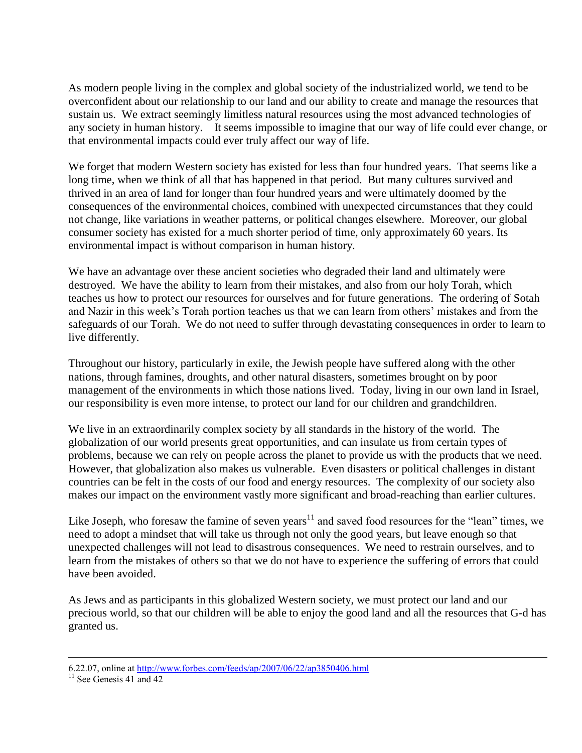As modern people living in the complex and global society of the industrialized world, we tend to be overconfident about our relationship to our land and our ability to create and manage the resources that sustain us. We extract seemingly limitless natural resources using the most advanced technologies of any society in human history. It seems impossible to imagine that our way of life could ever change, or that environmental impacts could ever truly affect our way of life.

We forget that modern Western society has existed for less than four hundred years. That seems like a long time, when we think of all that has happened in that period. But many cultures survived and thrived in an area of land for longer than four hundred years and were ultimately doomed by the consequences of the environmental choices, combined with unexpected circumstances that they could not change, like variations in weather patterns, or political changes elsewhere. Moreover, our global consumer society has existed for a much shorter period of time, only approximately 60 years. Its environmental impact is without comparison in human history.

We have an advantage over these ancient societies who degraded their land and ultimately were destroyed. We have the ability to learn from their mistakes, and also from our holy Torah, which teaches us how to protect our resources for ourselves and for future generations. The ordering of Sotah and Nazir in this week's Torah portion teaches us that we can learn from others' mistakes and from the safeguards of our Torah. We do not need to suffer through devastating consequences in order to learn to live differently.

Throughout our history, particularly in exile, the Jewish people have suffered along with the other nations, through famines, droughts, and other natural disasters, sometimes brought on by poor management of the environments in which those nations lived. Today, living in our own land in Israel, our responsibility is even more intense, to protect our land for our children and grandchildren.

We live in an extraordinarily complex society by all standards in the history of the world. The globalization of our world presents great opportunities, and can insulate us from certain types of problems, because we can rely on people across the planet to provide us with the products that we need. However, that globalization also makes us vulnerable. Even disasters or political challenges in distant countries can be felt in the costs of our food and energy resources. The complexity of our society also makes our impact on the environment vastly more significant and broad-reaching than earlier cultures.

Like Joseph, who foresaw the famine of seven years<sup>11</sup> and saved food resources for the "lean" times, we need to adopt a mindset that will take us through not only the good years, but leave enough so that unexpected challenges will not lead to disastrous consequences. We need to restrain ourselves, and to learn from the mistakes of others so that we do not have to experience the suffering of errors that could have been avoided.

As Jews and as participants in this globalized Western society, we must protect our land and our precious world, so that our children will be able to enjoy the good land and all the resources that G-d has granted us.

 $\overline{a}$ 

<sup>6.22.07,</sup> online at <http://www.forbes.com/feeds/ap/2007/06/22/ap3850406.html>

 $11$  See Genesis 41 and 42